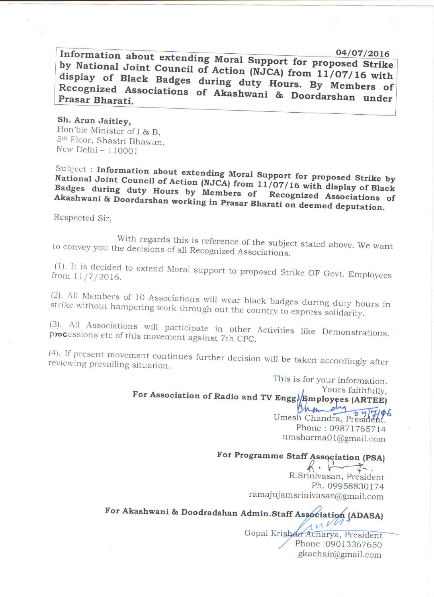Information about extending Moral Support for proposed Strike by National Joint Council of Action (NJCA) from 11/07/16 with display of Black Badges during duty Hours. By Members of Recognized Associations of Akashwani & Doordarshan under Prasar Bharati.

Sh. Arun Jaitley, Hon'ble Minister of I & B, 5<sup>th</sup> Floor, Shastri Bhawan, New Delhi - 110001

Subject: Information about extending Moral Support for proposed Strike by National Joint Council of Action (NJCA) from 11/07/16 with display of Black Badges during duty Hours by Members of Recognized Associations of Akashwani & Doordarshan working in Prasar Bharati on deemed deputation.

Respected Sir,

With regards this is reference of the subject stated above. We want to convey you the decisions of all Recognized Associations.

(1). It is decided to extend Moral support to proposed Strike OF Govt. Employees from 11/7/2016.

(2). All Members of 10 Associations will wear black badges during duty hours in strike without hampering work through out the country to express solidarity.

(3). All Associations will participate in other Activities like Demonstrations, processions etc of this movement against 7th CPC.

(4). If present movement continues further decision will be taken accordingly after reviewing prevailing situation.

> This is for your information. Yours faithfully, For Association of Radio and TV Engg Fmployees (ARTEE)

 $\frac{d_{19}}{84777786}$ Man Umesh Chandra, President. Phone: 09871765714 umsharma01@gmail.com

## For Programme Staff Association (PSA)

 $R \cdot \Box$  $\overline{J}$ R.Srinivasan, President Ph. 09958830174 ramajujamsrinivasan@gmail.com

For Akashwani & Doodradshan Admin.Staff Association (ADASA)

ruvn Gopal Krishan Acharya, President Phone: 09013367650 gkachair@gmail.com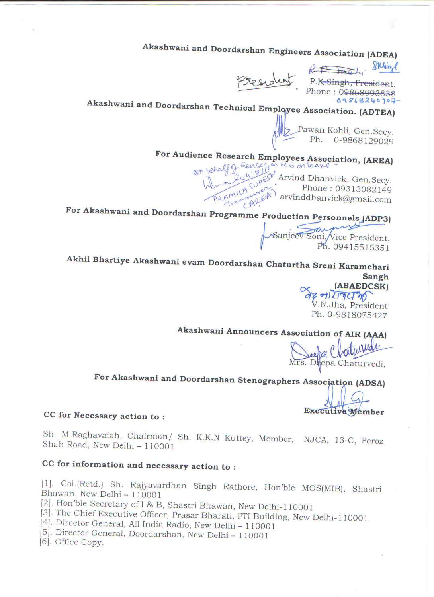Akashwani and Doordarshan Engineers Association (ADEA)

Start, Sking

President P.K.Singh, President,

09868240907

# Akashwani and Doordarshan Technical Employee Association. (ADTEA)

Pawan Kohli, Gen.Secy.<br>Ph. 0-9868129029

For Audience Research Employees Association, (AREA)

half of Gensec as he is on leave<br>and lightly Arvind Dhanvick, Gen. Secy.<br>PRAMILA SUREN Phone: 09313000  $\mathbb{R}^N$  arvinddhanvick@gmail.com

For Akashwani and Doordarshan Programme Production Personnels (ADP3)

Sanjeev Soni, Vice President,

Akhil Bhartiye Akashwani evam Doordarshan Chaturtha Sreni Karamchari **Sangh** 

AZ TILITY M Ph. 0-9818075427

Akashwani Announcers Association of AIR (AAA)

Mrs. Deepa Chodustude

For Akashwani and Doordarshan Stenographers Association (ADSA)

Executive Member

#### CC for Necessary action to:

Sh. M.Raghavaiah, Chairman/ Sh. K.K.N Kuttey, Member, NJCA, 13-C, Feroz Shah Road, New Delhi - 110001

## CC for information and necessary action to:

[1]. Col.(Retd.) Sh. Rajyavardhan Singh Rathore, Hon'ble MOS(MIB), Shastri Bhawan, New Delhi - 110001

[2]. Hon'ble Secretary of I & B, Shastri Bhawan, New Delhi-110001

[3]. The Chief Executive Officer, Prasar Bharati, PTI Building, New Delhi-110001

[4]. Director General, All India Radio, New Delhi - 110001

[5]. Director General, Doordarshan, New Delhi - 110001

[6]. Office Copy.